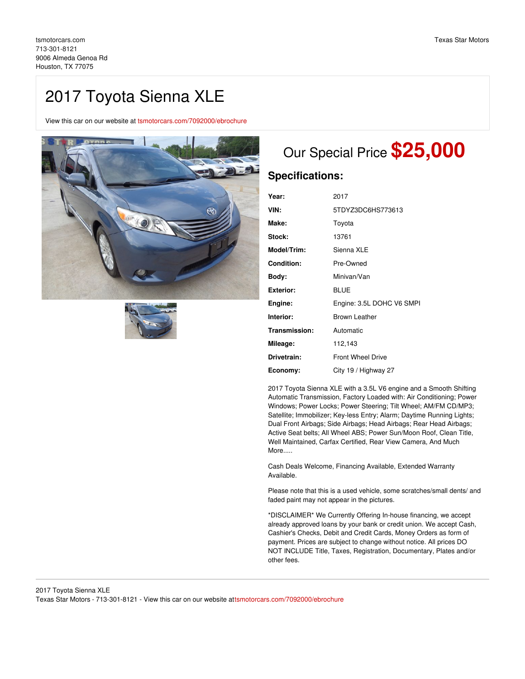# 2017 Toyota Sienna XLE

View this car on our website at [tsmotorcars.com/7092000/ebrochure](https://tsmotorcars.com/vehicle/7092000/2017-toyota-sienna-xle-houston-tx-77075/7092000/ebrochure)





# Our Special Price **\$25,000**

## **Specifications:**

| Year:              | 2017                      |
|--------------------|---------------------------|
| VIN:               | 5TDYZ3DC6HS773613         |
| Make:              | Toyota                    |
| Stock:             | 13761                     |
| <b>Model/Trim:</b> | Sienna XLE                |
| Condition:         | Pre-Owned                 |
| Body:              | Minivan/Van               |
| Exterior:          | BLUE                      |
| Engine:            | Engine: 3.5L DOHC V6 SMPI |
| Interior:          | <b>Brown Leather</b>      |
| Transmission:      | Automatic                 |
| Mileage:           | 112,143                   |
| Drivetrain:        | <b>Front Wheel Drive</b>  |
| Economy:           | City 19 / Highway 27      |

2017 Toyota Sienna XLE with a 3.5L V6 engine and a Smooth Shifting Automatic Transmission, Factory Loaded with: Air Conditioning; Power Windows; Power Locks; Power Steering; Tilt Wheel; AM/FM CD/MP3; Satellite; Immobilizer; Key-less Entry; Alarm; Daytime Running Lights; Dual Front Airbags; Side Airbags; Head Airbags; Rear Head Airbags; Active Seat belts; All Wheel ABS; Power Sun/Moon Roof, Clean Title, Well Maintained, Carfax Certified, Rear View Camera, And Much More.....

Cash Deals Welcome, Financing Available, Extended Warranty Available.

Please note that this is a used vehicle, some scratches/small dents/ and faded paint may not appear in the pictures.

\*DISCLAIMER\* We Currently Offering In-house financing, we accept already approved loans by your bank or credit union. We accept Cash, Cashier's Checks, Debit and Credit Cards, Money Orders as form of payment. Prices are subject to change without notice. All prices DO NOT INCLUDE Title, Taxes, Registration, Documentary, Plates and/or other fees.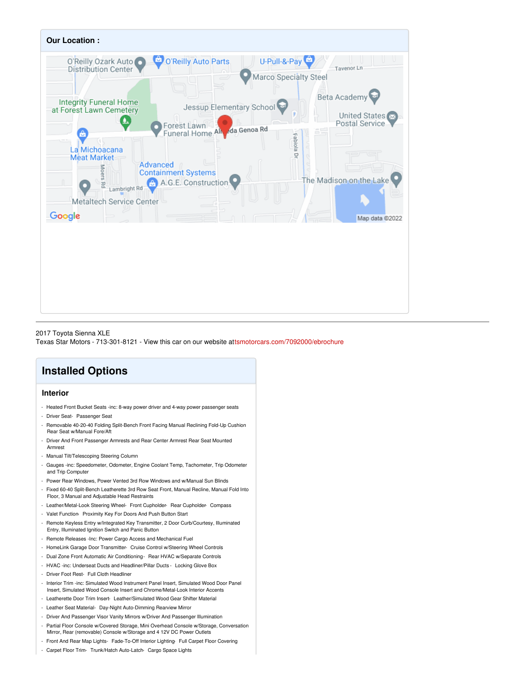

#### 2017 Toyota Sienna XLE Texas Star Motors - 713-301-8121 - View this car on our website at[tsmotorcars.com/7092000/ebrochure](https://tsmotorcars.com/vehicle/7092000/2017-toyota-sienna-xle-houston-tx-77075/7092000/ebrochure)

## **Installed Options**

### **Interior**

- Heated Front Bucket Seats -inc: 8-way power driver and 4-way power passenger seats
- Driver Seat- Passenger Seat
- Removable 40-20-40 Folding Split-Bench Front Facing Manual Reclining Fold-Up Cushion Rear Seat w/Manual Fore/Aft
- Driver And Front Passenger Armrests and Rear Center Armrest Rear Seat Mounted Armrest
- Manual Tilt/Telescoping Steering Column
- Gauges -inc: Speedometer, Odometer, Engine Coolant Temp, Tachometer, Trip Odometer and Trip Computer
- Power Rear Windows, Power Vented 3rd Row Windows and w/Manual Sun Blinds
- Fixed 60-40 Split-Bench Leatherette 3rd Row Seat Front, Manual Recline, Manual Fold Into Floor, 3 Manual and Adjustable Head Restraints
- Leather/Metal-Look Steering Wheel- Front Cupholder- Rear Cupholder- Compass
- Valet Function- Proximity Key For Doors And Push Button Start
- Remote Keyless Entry w/Integrated Key Transmitter, 2 Door Curb/Courtesy, Illuminated Entry, Illuminated Ignition Switch and Panic Button
- Remote Releases -Inc: Power Cargo Access and Mechanical Fuel
- HomeLink Garage Door Transmitter- Cruise Control w/Steering Wheel Controls
- Dual Zone Front Automatic Air Conditioning Rear HVAC w/Separate Controls
- HVAC -inc: Underseat Ducts and Headliner/Pillar Ducts Locking Glove Box
- Driver Foot Rest- Full Cloth Headliner
- Interior Trim -inc: Simulated Wood Instrument Panel Insert, Simulated Wood Door Panel Insert, Simulated Wood Console Insert and Chrome/Metal-Look Interior Accents
- Leatherette Door Trim Insert- Leather/Simulated Wood Gear Shifter Material
- Leather Seat Material- Day-Night Auto-Dimming Rearview Mirror
- Driver And Passenger Visor Vanity Mirrors w/Driver And Passenger Illumination
- Partial Floor Console w/Covered Storage, Mini Overhead Console w/Storage, Conversation Mirror, Rear (removable) Console w/Storage and 4 12V DC Power Outlets
- Front And Rear Map Lights- Fade-To-Off Interior Lighting- Full Carpet Floor Covering
- Carpet Floor Trim- Trunk/Hatch Auto-Latch- Cargo Space Lights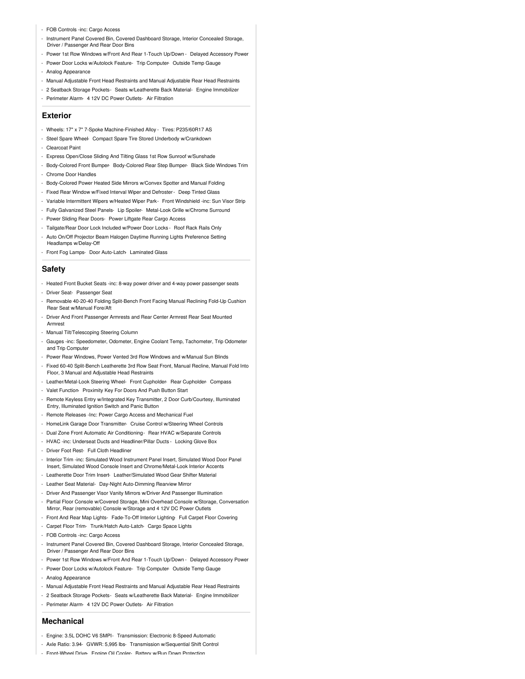- FOB Controls -inc: Cargo Access
- Instrument Panel Covered Bin, Covered Dashboard Storage, Interior Concealed Storage, Driver / Passenger And Rear Door Bins
- Power 1st Row Windows w/Front And Rear 1-Touch Up/Down Delayed Accessory Power
- Power Door Locks w/Autolock Feature- Trip Computer- Outside Temp Gauge
- Analog Appearance
- Manual Adjustable Front Head Restraints and Manual Adjustable Rear Head Restraints
- 2 Seatback Storage Pockets- Seats w/Leatherette Back Material- Engine Immobilizer
- Perimeter Alarm- 4 12V DC Power Outlets- Air Filtration

#### **Exterior**

- Wheels: 17" x 7" 7-Spoke Machine-Finished Alloy Tires: P235/60R17 AS
- Steel Spare Wheel- Compact Spare Tire Stored Underbody w/Crankdown
- Clearcoat Paint
- Express Open/Close Sliding And Tilting Glass 1st Row Sunroof w/Sunshade
- Body-Colored Front Bumper- Body-Colored Rear Step Bumper- Black Side Windows Trim - Chrome Door Handles
- 
- Body-Colored Power Heated Side Mirrors w/Convex Spotter and Manual Folding
- Fixed Rear Window w/Fixed Interval Wiper and Defroster- Deep Tinted Glass
- Variable Intermittent Wipers w/Heated Wiper Park- Front Windshield -inc: Sun Visor Strip
- Fully Galvanized Steel Panels- Lip Spoiler- Metal-Look Grille w/Chrome Surround
- Power Sliding Rear Doors- Power Liftgate Rear Cargo Access
- Tailgate/Rear Door Lock Included w/Power Door Locks Roof Rack Rails Only
- Auto On/Off Projector Beam Halogen Daytime Running Lights Preference Setting Headlamps w/Delay-Off
- Front Fog Lamps- Door Auto-Latch- Laminated Glass

#### **Safety**

- Heated Front Bucket Seats -inc: 8-way power driver and 4-way power passenger seats - Driver Seat- Passenger Seat
- Removable 40-20-40 Folding Split-Bench Front Facing Manual Reclining Fold-Up Cushion Rear Seat w/Manual Fore/Aft
- Driver And Front Passenger Armrests and Rear Center Armrest Rear Seat Mounted Armrest
- Manual Tilt/Telescoping Steering Column
- Gauges -inc: Speedometer, Odometer, Engine Coolant Temp, Tachometer, Trip Odometer and Trip Computer
- Power Rear Windows, Power Vented 3rd Row Windows and w/Manual Sun Blinds
- Fixed 60-40 Split-Bench Leatherette 3rd Row Seat Front, Manual Recline, Manual Fold Into Floor, 3 Manual and Adjustable Head Restraints
- Leather/Metal-Look Steering Wheel- Front Cupholder- Rear Cupholder- Compass
- Valet Function- Proximity Key For Doors And Push Button Start
- Remote Keyless Entry w/Integrated Key Transmitter, 2 Door Curb/Courtesy, Illuminated Entry, Illuminated Ignition Switch and Panic Button
- Remote Releases -Inc: Power Cargo Access and Mechanical Fuel
- HomeLink Garage Door Transmitter- Cruise Control w/Steering Wheel Controls
- Dual Zone Front Automatic Air Conditioning- Rear HVAC w/Separate Controls
- HVAC -inc: Underseat Ducts and Headliner/Pillar Ducts Locking Glove Box
- Driver Foot Rest- Full Cloth Headliner
- Interior Trim -inc: Simulated Wood Instrument Panel Insert, Simulated Wood Door Panel Insert, Simulated Wood Console Insert and Chrome/Metal-Look Interior Accents
- Leatherette Door Trim Insert- Leather/Simulated Wood Gear Shifter Material
- Leather Seat Material- Day-Night Auto-Dimming Rearview Mirror
- Driver And Passenger Visor Vanity Mirrors w/Driver And Passenger Illumination
- Partial Floor Console w/Covered Storage, Mini Overhead Console w/Storage, Conversation Mirror, Rear (removable) Console w/Storage and 4 12V DC Power Outlets
- Front And Rear Map Lights- Fade-To-Off Interior Lighting- Full Carpet Floor Covering
- Carpet Floor Trim- Trunk/Hatch Auto-Latch- Cargo Space Lights
- FOB Controls -inc: Cargo Access
- Instrument Panel Covered Bin, Covered Dashboard Storage, Interior Concealed Storage, Driver / Passenger And Rear Door Bins
- Power 1st Row Windows w/Front And Rear 1-Touch Up/Down Delayed Accessory Power
- Power Door Locks w/Autolock Feature- Trip Computer- Outside Temp Gauge
- Analog Appearance
- Manual Adjustable Front Head Restraints and Manual Adjustable Rear Head Restraints
- 2 Seatback Storage Pockets- Seats w/Leatherette Back Material- Engine Immobilizer
- Perimeter Alarm- 4 12V DC Power Outlets- Air Filtration

#### **Mechanical**

- Engine: 3.5L DOHC V6 SMPI- Transmission: Electronic 8-Speed Automatic
- Axle Ratio: 3.94- GVWR: 5,995 lbs- Transmission w/Sequential Shift Control
- Front-Wheel Drive- Engine Oil Cooler- Battery w/Run Down Protection